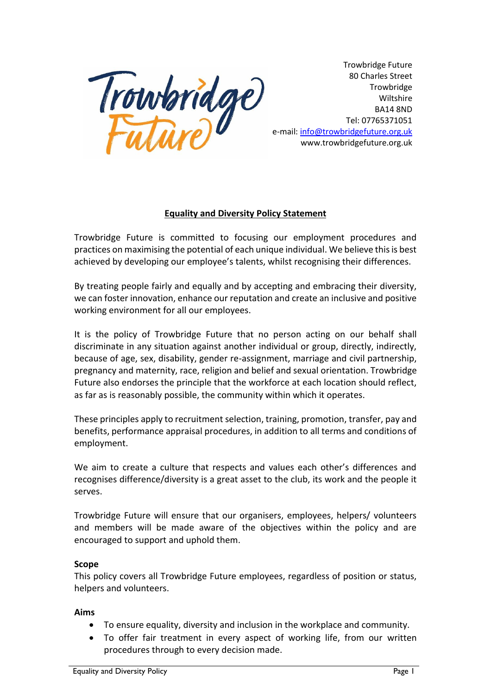

Trowbridge Future 80 Charles Street **Trowbridge** Wiltshire BA14 8ND Tel: 07765371051 e-mail[: info@trowbridgefuture.org.uk](mailto:info@trowbridgefuture.org.uk) www.trowbridgefuture.org.uk

# **Equality and Diversity Policy Statement**

Trowbridge Future is committed to focusing our employment procedures and practices on maximising the potential of each unique individual. We believe this is best achieved by developing our employee's talents, whilst recognising their differences.

By treating people fairly and equally and by accepting and embracing their diversity, we can foster innovation, enhance our reputation and create an inclusive and positive working environment for all our employees.

It is the policy of Trowbridge Future that no person acting on our behalf shall discriminate in any situation against another individual or group, directly, indirectly, because of age, sex, disability, gender re-assignment, marriage and civil partnership, pregnancy and maternity, race, religion and belief and sexual orientation. Trowbridge Future also endorses the principle that the workforce at each location should reflect, as far as is reasonably possible, the community within which it operates.

These principles apply to recruitment selection, training, promotion, transfer, pay and benefits, performance appraisal procedures, in addition to all terms and conditions of employment.

We aim to create a culture that respects and values each other's differences and recognises difference/diversity is a great asset to the club, its work and the people it serves.

Trowbridge Future will ensure that our organisers, employees, helpers/ volunteers and members will be made aware of the objectives within the policy and are encouraged to support and uphold them.

# **Scope**

This policy covers all Trowbridge Future employees, regardless of position or status, helpers and volunteers.

# **Aims**

- To ensure equality, diversity and inclusion in the workplace and community.
- To offer fair treatment in every aspect of working life, from our written procedures through to every decision made.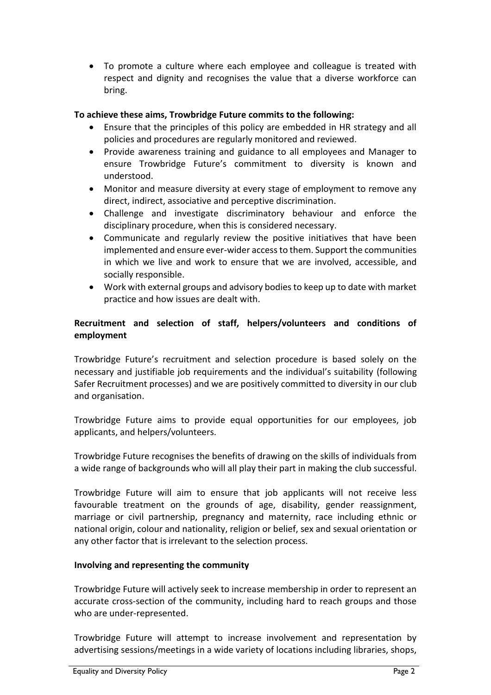• To promote a culture where each employee and colleague is treated with respect and dignity and recognises the value that a diverse workforce can bring.

# **To achieve these aims, Trowbridge Future commits to the following:**

- Ensure that the principles of this policy are embedded in HR strategy and all policies and procedures are regularly monitored and reviewed.
- Provide awareness training and guidance to all employees and Manager to ensure Trowbridge Future's commitment to diversity is known and understood.
- Monitor and measure diversity at every stage of employment to remove any direct, indirect, associative and perceptive discrimination.
- Challenge and investigate discriminatory behaviour and enforce the disciplinary procedure, when this is considered necessary.
- Communicate and regularly review the positive initiatives that have been implemented and ensure ever-wider access to them. Support the communities in which we live and work to ensure that we are involved, accessible, and socially responsible.
- Work with external groups and advisory bodies to keep up to date with market practice and how issues are dealt with.

# **Recruitment and selection of staff, helpers/volunteers and conditions of employment**

Trowbridge Future's recruitment and selection procedure is based solely on the necessary and justifiable job requirements and the individual's suitability (following Safer Recruitment processes) and we are positively committed to diversity in our club and organisation.

Trowbridge Future aims to provide equal opportunities for our employees, job applicants, and helpers/volunteers.

Trowbridge Future recognises the benefits of drawing on the skills of individuals from a wide range of backgrounds who will all play their part in making the club successful.

Trowbridge Future will aim to ensure that job applicants will not receive less favourable treatment on the grounds of age, disability, gender reassignment, marriage or civil partnership, pregnancy and maternity, race including ethnic or national origin, colour and nationality, religion or belief, sex and sexual orientation or any other factor that is irrelevant to the selection process.

#### **Involving and representing the community**

Trowbridge Future will actively seek to increase membership in order to represent an accurate cross-section of the community, including hard to reach groups and those who are under-represented.

Trowbridge Future will attempt to increase involvement and representation by advertising sessions/meetings in a wide variety of locations including libraries, shops,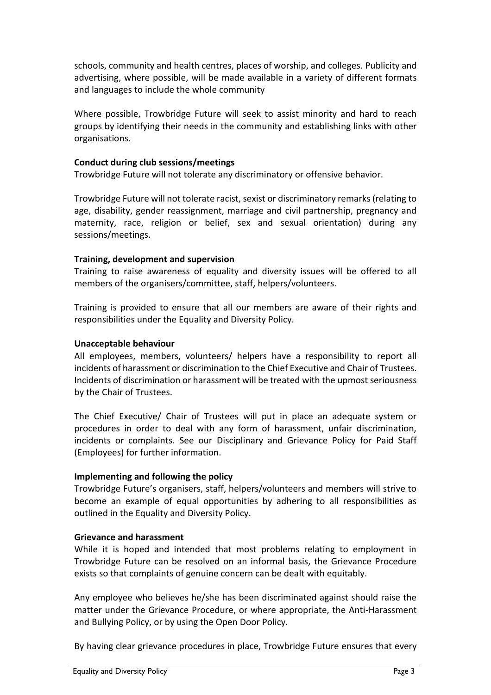schools, community and health centres, places of worship, and colleges. Publicity and advertising, where possible, will be made available in a variety of different formats and languages to include the whole community

Where possible, Trowbridge Future will seek to assist minority and hard to reach groups by identifying their needs in the community and establishing links with other organisations.

#### **Conduct during club sessions/meetings**

Trowbridge Future will not tolerate any discriminatory or offensive behavior.

Trowbridge Future will not tolerate racist, sexist or discriminatory remarks (relating to age, disability, gender reassignment, marriage and civil partnership, pregnancy and maternity, race, religion or belief, sex and sexual orientation) during any sessions/meetings.

### **Training, development and supervision**

Training to raise awareness of equality and diversity issues will be offered to all members of the organisers/committee, staff, helpers/volunteers.

Training is provided to ensure that all our members are aware of their rights and responsibilities under the Equality and Diversity Policy.

### **Unacceptable behaviour**

All employees, members, volunteers/ helpers have a responsibility to report all incidents of harassment or discrimination to the Chief Executive and Chair of Trustees. Incidents of discrimination or harassment will be treated with the upmost seriousness by the Chair of Trustees.

The Chief Executive/ Chair of Trustees will put in place an adequate system or procedures in order to deal with any form of harassment, unfair discrimination, incidents or complaints. See our Disciplinary and Grievance Policy for Paid Staff (Employees) for further information.

#### **Implementing and following the policy**

Trowbridge Future's organisers, staff, helpers/volunteers and members will strive to become an example of equal opportunities by adhering to all responsibilities as outlined in the Equality and Diversity Policy.

#### **Grievance and harassment**

While it is hoped and intended that most problems relating to employment in Trowbridge Future can be resolved on an informal basis, the Grievance Procedure exists so that complaints of genuine concern can be dealt with equitably.

Any employee who believes he/she has been discriminated against should raise the matter under the Grievance Procedure, or where appropriate, the Anti-Harassment and Bullying Policy, or by using the Open Door Policy.

By having clear grievance procedures in place, Trowbridge Future ensures that every